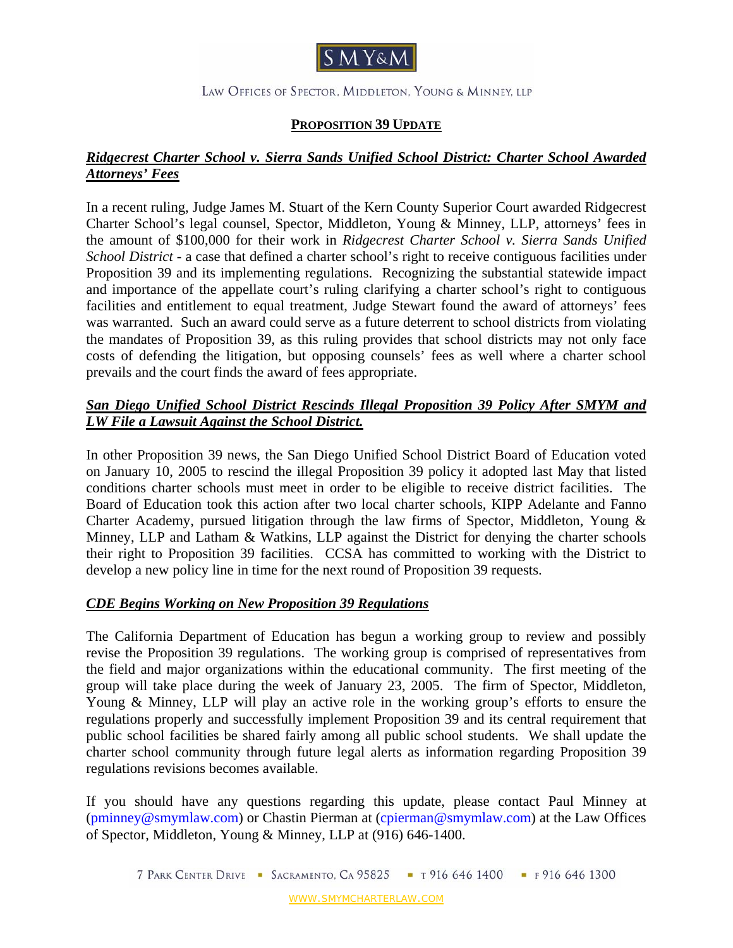

#### LAW OFFICES OF SPECTOR, MIDDLETON, YOUNG & MINNEY, LLP

# **PROPOSITION 39 UPDATE**

#### *Ridgecrest Charter School v. Sierra Sands Unified School District: Charter School Awarded Attorneys' Fees*

In a recent ruling, Judge James M. Stuart of the Kern County Superior Court awarded Ridgecrest Charter School's legal counsel, Spector, Middleton, Young & Minney, LLP, attorneys' fees in the amount of \$100,000 for their work in *Ridgecrest Charter School v. Sierra Sands Unified School District* - a case that defined a charter school's right to receive contiguous facilities under Proposition 39 and its implementing regulations. Recognizing the substantial statewide impact and importance of the appellate court's ruling clarifying a charter school's right to contiguous facilities and entitlement to equal treatment, Judge Stewart found the award of attorneys' fees was warranted. Such an award could serve as a future deterrent to school districts from violating the mandates of Proposition 39, as this ruling provides that school districts may not only face costs of defending the litigation, but opposing counsels' fees as well where a charter school prevails and the court finds the award of fees appropriate.

# *San Diego Unified School District Rescinds Illegal Proposition 39 Policy After SMYM and LW File a Lawsuit Against the School District.*

In other Proposition 39 news, the San Diego Unified School District Board of Education voted on January 10, 2005 to rescind the illegal Proposition 39 policy it adopted last May that listed conditions charter schools must meet in order to be eligible to receive district facilities. The Board of Education took this action after two local charter schools, KIPP Adelante and Fanno Charter Academy, pursued litigation through the law firms of Spector, Middleton, Young & Minney, LLP and Latham & Watkins, LLP against the District for denying the charter schools their right to Proposition 39 facilities. CCSA has committed to working with the District to develop a new policy line in time for the next round of Proposition 39 requests.

# *CDE Begins Working on New Proposition 39 Regulations*

The California Department of Education has begun a working group to review and possibly revise the Proposition 39 regulations. The working group is comprised of representatives from the field and major organizations within the educational community. The first meeting of the group will take place during the week of January 23, 2005. The firm of Spector, Middleton, Young & Minney, LLP will play an active role in the working group's efforts to ensure the regulations properly and successfully implement Proposition 39 and its central requirement that public school facilities be shared fairly among all public school students. We shall update the charter school community through future legal alerts as information regarding Proposition 39 regulations revisions becomes available.

If you should have any questions regarding this update, please contact Paul Minney at (pminney@smymlaw.com) or Chastin Pierman at (cpierman@smymlaw.com) at the Law Offices of Spector, Middleton, Young & Minney, LLP at (916) 646-1400.